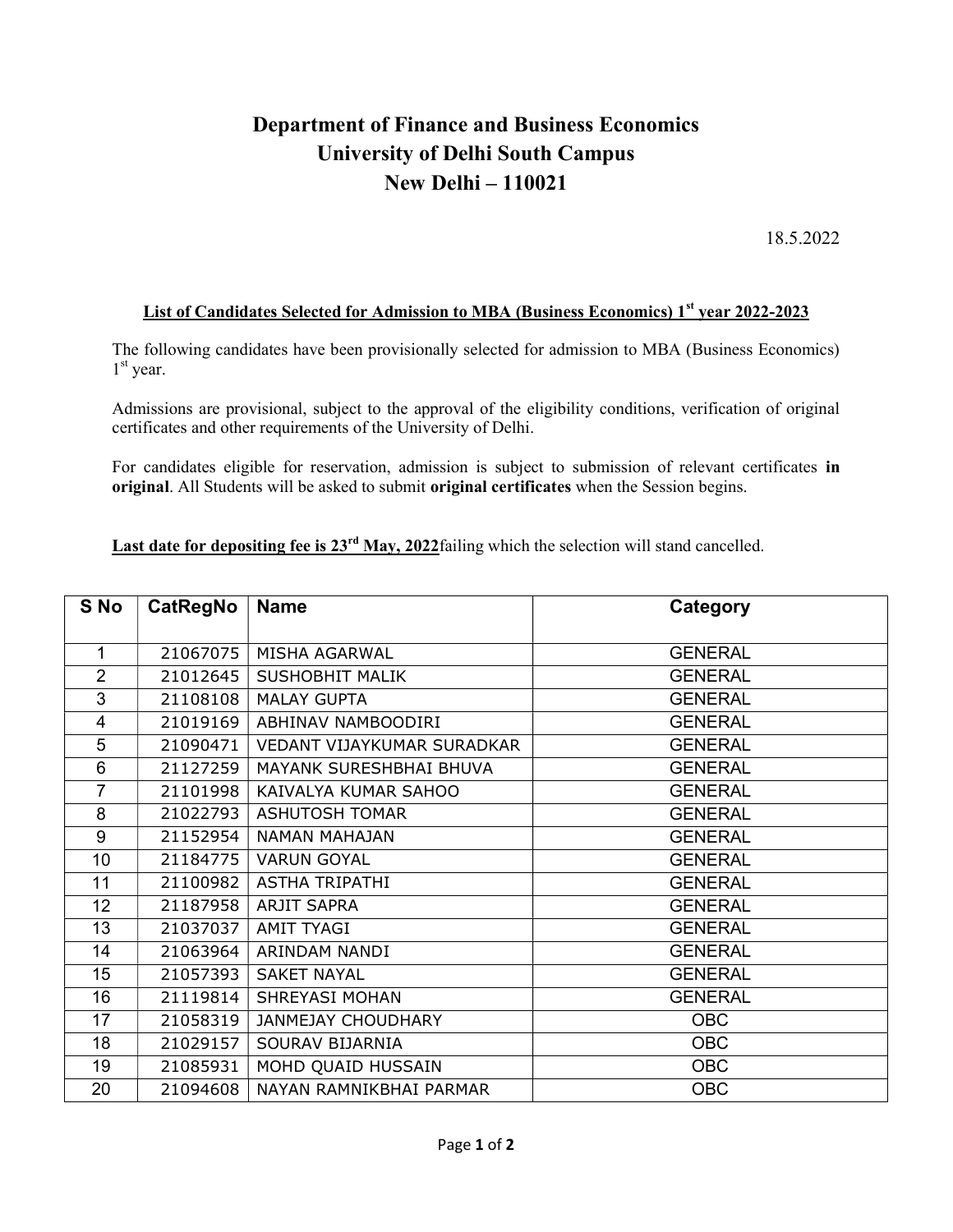## Department of Finance and Business Economics University of Delhi South Campus New Delhi – 110021

18.5.2022

## List of Candidates Selected for Admission to MBA (Business Economics) 1<sup>st</sup> year 2022-2023

The following candidates have been provisionally selected for admission to MBA (Business Economics) st year.

Admissions are provisional, subject to the approval of the eligibility conditions, verification of original certificates and other requirements of the University of Delhi.

For candidates eligible for reservation, admission is subject to submission of relevant certificates in original. All Students will be asked to submit original certificates when the Session begins.

Last date for depositing fee is  $23<sup>rd</sup>$  May, 2022failing which the selection will stand cancelled.

| S No           | CatRegNo | <b>Name</b>                | Category       |
|----------------|----------|----------------------------|----------------|
| $\mathbf{1}$   | 21067075 | MISHA AGARWAL              | <b>GENERAL</b> |
| $\overline{2}$ | 21012645 | <b>SUSHOBHIT MALIK</b>     | <b>GENERAL</b> |
| 3              | 21108108 | <b>MALAY GUPTA</b>         | <b>GENERAL</b> |
| $\overline{4}$ | 21019169 | ABHINAV NAMBOODIRI         | <b>GENERAL</b> |
| 5              | 21090471 | VEDANT VIJAYKUMAR SURADKAR | <b>GENERAL</b> |
| 6              | 21127259 | MAYANK SURESHBHAI BHUVA    | <b>GENERAL</b> |
| $\overline{7}$ | 21101998 | KAIVALYA KUMAR SAHOO       | <b>GENERAL</b> |
| 8              | 21022793 | <b>ASHUTOSH TOMAR</b>      | <b>GENERAL</b> |
| 9              | 21152954 | NAMAN MAHAJAN              | <b>GENERAL</b> |
| 10             | 21184775 | <b>VARUN GOYAL</b>         | <b>GENERAL</b> |
| 11             | 21100982 | <b>ASTHA TRIPATHI</b>      | <b>GENERAL</b> |
| 12             | 21187958 | <b>ARJIT SAPRA</b>         | <b>GENERAL</b> |
| 13             | 21037037 | <b>AMIT TYAGI</b>          | <b>GENERAL</b> |
| 14             | 21063964 | ARINDAM NANDI              | <b>GENERAL</b> |
| 15             | 21057393 | <b>SAKET NAYAL</b>         | <b>GENERAL</b> |
| 16             | 21119814 | SHREYASI MOHAN             | <b>GENERAL</b> |
| 17             | 21058319 | <b>JANMEJAY CHOUDHARY</b>  | <b>OBC</b>     |
| 18             | 21029157 | SOURAV BIJARNIA            | <b>OBC</b>     |
| 19             | 21085931 | MOHD QUAID HUSSAIN         | <b>OBC</b>     |
| 20             | 21094608 | NAYAN RAMNIKBHAI PARMAR    | <b>OBC</b>     |